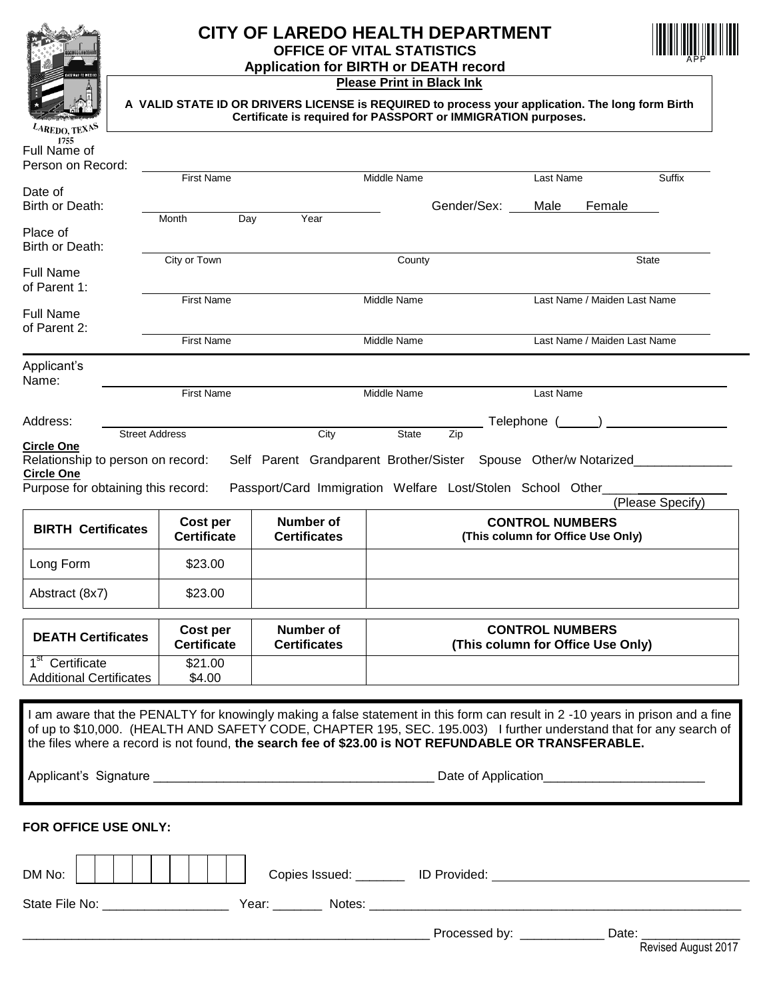

## **CITY OF LAREDO HEALTH DEPARTMENT OFFICE OF VITAL STATISTICS Application for BIRTH or DEATH record**



#### **Please Print in Black Ink**

**A VALID STATE ID OR DRIVERS LICENSE is REQUIRED to process your application. The long form Birth Certificate is required for PASSPORT or IMMIGRATION purposes.**

| $\sim$ AREDO, TEXALES<br>1755      |                       |                     |                                                                                                                               |                                   |                  |
|------------------------------------|-----------------------|---------------------|-------------------------------------------------------------------------------------------------------------------------------|-----------------------------------|------------------|
| Full Name of                       |                       |                     |                                                                                                                               |                                   |                  |
| Person on Record:                  |                       |                     |                                                                                                                               |                                   |                  |
|                                    | <b>First Name</b>     |                     | Middle Name                                                                                                                   | Last Name                         | Suffix           |
| Date of                            |                       |                     |                                                                                                                               |                                   |                  |
| Birth or Death:                    |                       | Year                | Gender/Sex:                                                                                                                   | Male<br>Female                    |                  |
| Place of                           | Day<br>Month          |                     |                                                                                                                               |                                   |                  |
| Birth or Death:                    |                       |                     |                                                                                                                               |                                   |                  |
|                                    | City or Town          |                     | County                                                                                                                        |                                   | State            |
| <b>Full Name</b>                   |                       |                     |                                                                                                                               |                                   |                  |
| of Parent 1:                       |                       |                     |                                                                                                                               |                                   |                  |
|                                    | <b>First Name</b>     |                     | Middle Name                                                                                                                   | Last Name / Maiden Last Name      |                  |
| <b>Full Name</b>                   |                       |                     |                                                                                                                               |                                   |                  |
| of Parent 2:                       |                       |                     |                                                                                                                               |                                   |                  |
|                                    | <b>First Name</b>     |                     | Middle Name                                                                                                                   | Last Name / Maiden Last Name      |                  |
| Applicant's                        |                       |                     |                                                                                                                               |                                   |                  |
| Name:                              |                       |                     |                                                                                                                               |                                   |                  |
|                                    | <b>First Name</b>     |                     | Middle Name                                                                                                                   | Last Name                         |                  |
|                                    |                       |                     |                                                                                                                               |                                   |                  |
| Address:                           | <b>Street Address</b> | City                | State<br>Zip                                                                                                                  | Telephone ( )                     |                  |
| <b>Circle One</b>                  |                       |                     |                                                                                                                               |                                   |                  |
| Relationship to person on record:  |                       |                     | Self Parent Grandparent Brother/Sister Spouse Other/w Notarized                                                               |                                   |                  |
| <b>Circle One</b>                  |                       |                     |                                                                                                                               |                                   |                  |
| Purpose for obtaining this record: |                       |                     | Passport/Card Immigration Welfare Lost/Stolen School Other_                                                                   |                                   |                  |
|                                    |                       |                     |                                                                                                                               |                                   | (Please Specify) |
| <b>BIRTH Certificates</b>          | Cost per              | <b>Number of</b>    |                                                                                                                               | <b>CONTROL NUMBERS</b>            |                  |
|                                    | <b>Certificate</b>    | <b>Certificates</b> |                                                                                                                               | (This column for Office Use Only) |                  |
|                                    |                       |                     |                                                                                                                               |                                   |                  |
| Long Form                          | \$23.00               |                     |                                                                                                                               |                                   |                  |
|                                    |                       |                     |                                                                                                                               |                                   |                  |
| Abstract (8x7)                     | \$23.00               |                     |                                                                                                                               |                                   |                  |
|                                    |                       |                     |                                                                                                                               |                                   |                  |
| <b>DEATH Certificates</b>          | Cost per              | <b>Number of</b>    |                                                                                                                               | <b>CONTROL NUMBERS</b>            |                  |
|                                    | <b>Certificate</b>    | <b>Certificates</b> |                                                                                                                               | (This column for Office Use Only) |                  |
| 1 <sup>st</sup> Certificate        | \$21.00               |                     |                                                                                                                               |                                   |                  |
| <b>Additional Certificates</b>     | \$4.00                |                     |                                                                                                                               |                                   |                  |
|                                    |                       |                     |                                                                                                                               |                                   |                  |
|                                    |                       |                     | I am aware that the PENALTY for knowingly making a false statement in this form can result in 2-10 years in prison and a fine |                                   |                  |
|                                    |                       |                     | of up to \$10,000. (HEALTH AND SAFETY CODE, CHAPTER 195, SEC. 195.003) I further understand that for any search of            |                                   |                  |
|                                    |                       |                     | the files where a record is not found, the search fee of \$23.00 is NOT REFUNDABLE OR TRANSFERABLE.                           |                                   |                  |
|                                    |                       |                     |                                                                                                                               |                                   |                  |
|                                    |                       |                     |                                                                                                                               |                                   |                  |
|                                    |                       |                     |                                                                                                                               |                                   |                  |
|                                    |                       |                     |                                                                                                                               |                                   |                  |
| FOR OFFICE USE ONLY:               |                       |                     |                                                                                                                               |                                   |                  |
|                                    |                       |                     |                                                                                                                               |                                   |                  |
|                                    |                       |                     |                                                                                                                               |                                   |                  |
|                                    |                       |                     |                                                                                                                               |                                   |                  |
| DM No:                             |                       |                     |                                                                                                                               |                                   |                  |
|                                    |                       |                     |                                                                                                                               |                                   |                  |
|                                    |                       |                     |                                                                                                                               |                                   |                  |